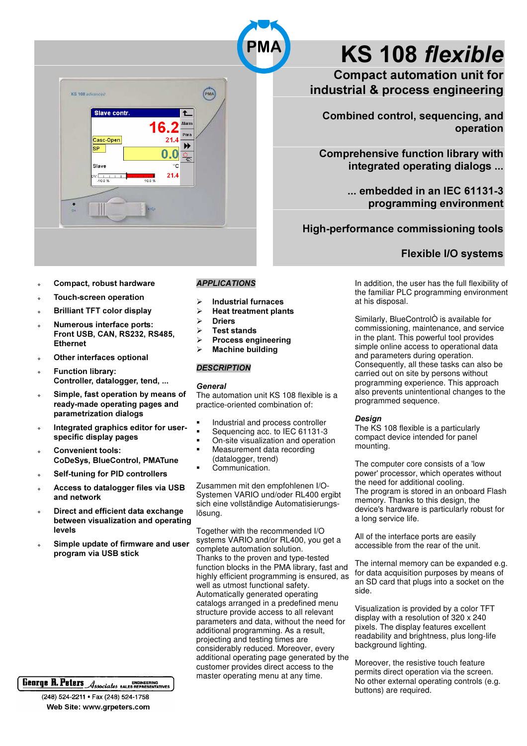

- Compact, robust hardware l.
- **Touch-screen operation**
- **Brilliant TFT color display**
- Numerous interface ports: Front USB, CAN, RS232, RS485, **Ethernet**
- Other interfaces optional  $\ddot{\phantom{a}}$
- **Function library:** Controller, datalogger, tend, ...
- Simple, fast operation by means of ready-made operating pages and parametrization dialogs
- Integrated graphics editor for userspecific display pages
- **Convenient tools: CoDeSys, BlueControl, PMATune**
- Self-tuning for PID controllers
- Access to dataloguer files via USB  $\lambda$ and network
- Direct and efficient data exchange between visualization and operating levels
- Simple update of firmware and user program via USB stick

## George R. Peters Associates BALES REPRESENTATIVES

(248) 524-2211 · Fax (248) 524-1758 Web Site: www.grpeters.com

#### **APPLICATIONS**

- **Industrial furnaces**
- $\overline{a}$ **Heat treatment plants**
- **Driers**  $\blacktriangleright$
- **Test stands**  $\triangleright$
- **Process engineering**
- **Machine building**  $\triangleright$

#### **DESCRIPTION**

#### General

The automation unit KS 108 flexible is a practice-oriented combination of:

- Industrial and process controller
- Sequencing acc. to IEC 61131-3
- On-site visualization and operation Measurement data recording
- (datalogger, trend) Communication.

Zusammen mit den empfohlenen I/O-Systemen VARIO und/oder RL400 ergibt sich eine vollständige Automatisierungslösung.

Together with the recommended I/O systems VARIO and/or RL400, you get a complete automation solution. Thanks to the proven and type-tested function blocks in the PMA library, fast and highly efficient programming is ensured, as well as utmost functional safety. Automatically generated operating catalogs arranged in a predefined menu structure provide access to all relevant parameters and data, without the need for additional programming. As a result, projecting and testing times are considerably reduced. Moreover, every additional operating page generated by the customer provides direct access to the master operating menu at any time.

# **KS 108 flexible**

**Compact automation unit for** industrial & process engineering

Combined control, sequencing, and operation

**Comprehensive function library with** integrated operating dialogs ...

> ... embedded in an IEC 61131-3 programming environment

High-performance commissioning tools

### **Flexible I/O systems**

In addition, the user has the full flexibility of the familiar PLC programming environment at his disposal.

Similarly, BlueControlÒ is available for commissioning, maintenance, and service in the plant. This powerful tool provides simple online access to operational data and parameters during operation. Consequently, all these tasks can also be carried out on site by persons without programming experience. This approach also prevents unintentional changes to the programmed sequence.

#### Design

The KS 108 flexible is a particularly compact device intended for panel mounting.

The computer core consists of a 'low power' processor, which operates without the need for additional cooling. The program is stored in an onboard Flash memory. Thanks to this design, the device's hardware is particularly robust for a long service life.

All of the interface ports are easily accessible from the rear of the unit.

The internal memory can be expanded e.g. for data acquisition purposes by means of an SD card that plugs into a socket on the ahia

Visualization is provided by a color TFT display with a resolution of 320 x 240 pixels. The display features excellent readability and brightness, plus long-life background lighting.

Moreover, the resistive touch feature permits direct operation via the screen. No other external operating controls (e.g. buttons) are required.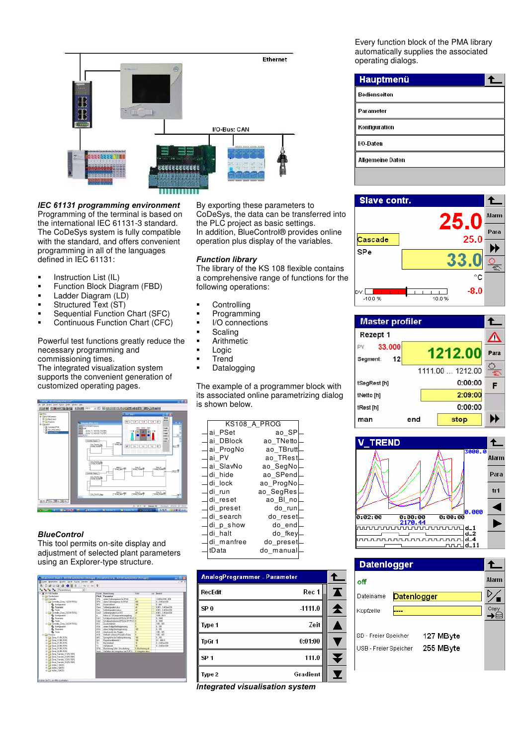

#### IEC 61131 programming environment Programming of the terminal is based on

the international IEC 61131-3 standard. The CoDeSys system is fully compatible with the standard, and offers convenient programming in all of the languages defined in IEC 61131:

- **Instruction List (IL)**
- Function Block Diagram (FBD)
- **Ladder Diagram (LD)**
- **Structured Text (ST)**
- **Sequential Function Chart (SFC)**
- Continuous Function Chart (CFC)

Powerful test functions greatly reduce the necessary programming and commissioning times.

The integrated visualization system supports the convenient generation of customized operating pages.



#### **BlueControl**

This tool permits on-site display and adjustment of selected plant parameters using an Explorer-type structure.



By exporting these parameters to CoDeSys, the data can be transferred into the PLC project as basic settings. In addition, BlueControl® provides online operation plus display of the variables.

#### **Function library**

The library of the KS 108 flexible contains a comprehensive range of functions for the following operations:

- **-** Controlling
- **•** Programming
- I/O connections
- Scaling
- Arithmetic
- Logic
- Trend
- Datalogging

The example of a programmer block with its associated online parametrizing dialog is shown below.

|            | KS108 A PROG |
|------------|--------------|
| ai PSet    | ao SP        |
| ai DBlock  | ao TNetto    |
| ai ProgNo  | ao TBrutt    |
| ai PV      | ao TRest     |
| ai SlavNo  | ao SegNo     |
| di hide    | ao SPend     |
| di lock    | ao ProgNo    |
| di run     | ao SegRes    |
| di reset   | ao Bl no     |
| di preset  | do run       |
| di search  | do reset     |
| di p show  | do end       |
| di halt    | do fkey      |
| di manfree | do preset    |
| tData      | do manual    |

| AnalogProgrammer - Parameter |   |
|------------------------------|---|
| Rec 1<br>RecEdit             | T |
| $-1111.0$<br>SP <sub>0</sub> | T |
| Zeit<br>Type 1               |   |
| 0:01:00<br>TpGr 1            |   |
| SP <sub>1</sub><br>111.0     |   |
| Gradient<br>Type 2           |   |

Integrated visualisation system

Every function block of the PMA library automatically supplies the associated operating dialogs.

| Hauptmenü            |  |
|----------------------|--|
| Bedienseiten         |  |
| Parameter            |  |
| <b>Konfiguration</b> |  |
| /O-Daten             |  |
| Allgemeine Daten     |  |
|                      |  |



| <b>Master profiler</b>          |     |                  |      |
|---------------------------------|-----|------------------|------|
| Rezept 1                        |     |                  |      |
| 33,000<br>PV.<br>12<br>Segment: |     | 1212.00          | Para |
|                                 |     | 1111.00  1212.00 | œ    |
| tSegRest [h]                    |     | 0:00:00          | F    |
| tNetto [h]                      |     | 2:09:00          |      |
| tRest [h]                       |     | 0:00:00          |      |
| man                             | end | stop             |      |



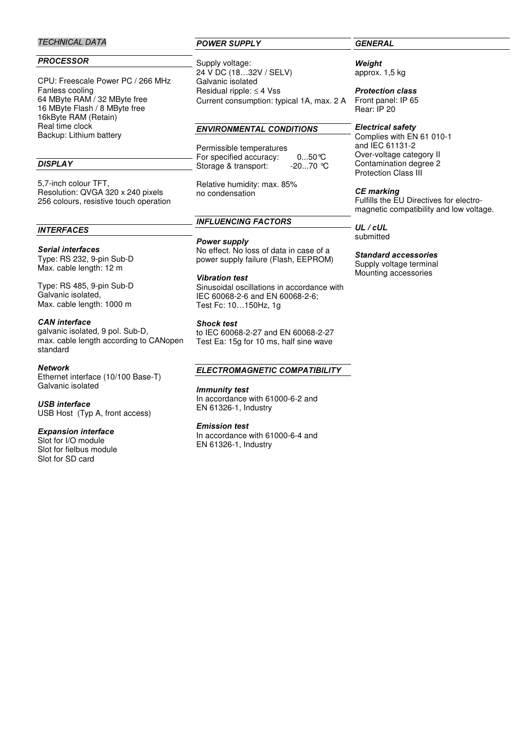#### **TECHNICAL DATA**

#### **PROCESSOR**

CPU: Freescale Power PC / 266 MHz Fanless cooling 64 MByte RAM / 32 MByte free 16 MByte Flash / 8 MByte free 16kByte RAM (Retain) Real time clock Backup: Lithium battery

#### DISPLAY

5,7-inch colour TFT, Resolution: QVGA 320 x 240 pixels 256 colours, resistive touch operation

#### **INTERFACES**

#### Serial interfaces

Type: RS 232, 9-pin Sub-D Max. cable length: 12 m

Type: RS 485, 9-pin Sub-D Galvanic isolated, Max. cable length: 1000 m

#### CAN interface

galvanic isolated, 9 pol. Sub-D, max. cable length according to CANopen standard

#### Network

Ethernet interface (10/100 Base-T) Galvanic isolated

#### USB interface

USB Host (Typ A, front access)

#### Expansion interface

Slot for I/O module Slot for fielbus module Slot for SD card

#### POWER SUPPLY

Supply voltage: 24 V DC (18…32V / SELV) Galvanic isolated Residual ripple: ≤ 4 Vss Current consumption: typical 1A, max. 2 A

#### **ENVIRONMENTAL CONDITIONS**

Permissible temperatures For specified accuracy: 0...50°C Storage & transport: -20...70 °C

Relative humidity: max. 85% no condensation

#### **INFLUENCING FACTORS**

#### Power supply

No effect. No loss of data in case of a power supply failure (Flash, EEPROM)

**Vibration test** Sinusoidal oscillations in accordance with IEC 60068-2-6 and EN 60068-2-6; Test Fc: 10…150Hz, 1g

#### **Shock test**

to IEC 60068-2-27 and EN 60068-2-27 Test Ea: 15g for 10 ms, half sine wave

#### ELECTROMAGNETIC COMPATIBILITY

#### Immunity test

In accordance with 61000-6-2 and EN 61326-1, Industry

#### **Emission test**

In accordance with 61000-6-4 and EN 61326-1, Industry

#### **GENERAL**

Weight approx. 1,5 kg

**Protection class** Front panel: IP 65 Rear: IP 20

#### Electrical safety

Complies with EN 61 010-1 and IEC 61131-2 Over-voltage category II Contamination degree 2 Protection Class III

#### CE marking

Fulfills the EU Directives for electromagnetic compatibility and low voltage.

 $UL / cUL$ submitted

#### Standard accessories

Supply voltage terminal Mounting accessories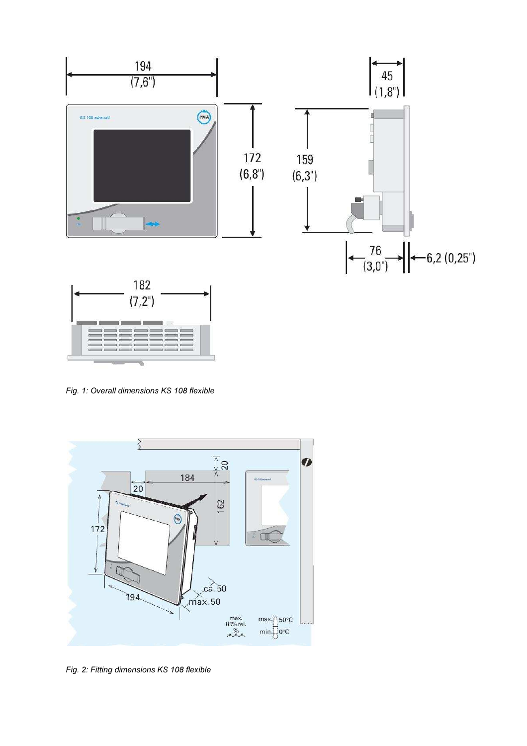

Fig. 1: Overall dimensions KS 108 flexible



Fig. 2: Fitting dimensions KS 108 flexible